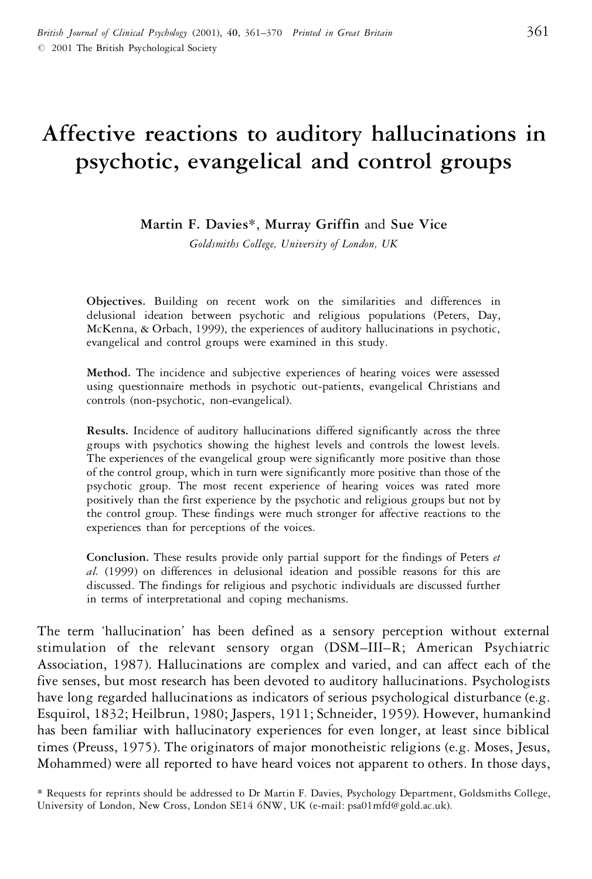# **Affective reactions to auditory hallucinations in psychotic, evangelical and control groups**

**Martin F. Davies**\*, **Murray Griffin** and **Sue Vice**

*Goldsmiths College, University of London, UK*

**Objectives.** Building on recent work on the similarities and differences in delusional ideation between psychotic and religious populations (Peters, Day, McKenna, & Orbach, 1999), the experiences of auditory hallucinations in psychotic, evangelical and control groups were examined in this study.

**Method.** The incidence and subjective experiences of hearing voices were assessed using questionnaire methods in psychotic out-patients, evangelical Christians and controls (non-psychotic, non-evangelical).

**Results.** Incidence of auditory hallucinations differed significantly across the three groups with psychotics showing the highest levels and controls the lowest levels. The experiences of the evangelical group were significantly more positive than those of the control group, which in turn were significantly more positive than those of the psychotic group. The most recent experience of hearing voices was rated more positively than the first experience by the psychotic and religious groups but not by the control group. These findings were much stronger for affective reactions to the experiences than for perceptions of the voices.

**Conclusion.** These results provide only partial support for the findings of Peters *et al.* (1999) on differences in delusional ideation and possible reasons for this are discussed. The findings for religious and psychotic individuals are discussed further in terms of interpretational and coping mechanisms.

The term 'hallucination' has been defined as a sensory perception without external stimulation of the relevant sensory organ (DSM–III–R; American Psychiatric Association, 1987). Hallucinations are complex and varied, and can affect each of the five senses, but most research has been devoted to auditory hallucinations. Psychologists have long regarded hallucinations as indicators of serious psychological disturbance (e.g. Esquirol, 1832; Heilbrun, 1980; Jaspers, 1911; Schneider, 1959). However, humankind has been familiar with hallucinatory experiences for even longer, at least since biblical times (Preuss, 1975). The originators of major monotheistic religions (e.g. Moses, Jesus, Mohammed) were all reported to have heard voices not apparent to others. In those days,

\* Requests for reprints should be addressed to Dr Martin F. Davies, Psychology Department, Goldsmiths College, University of London, New Cross, London SE14 6NW, UK (e-mail: psa01mfd@gold.ac.uk).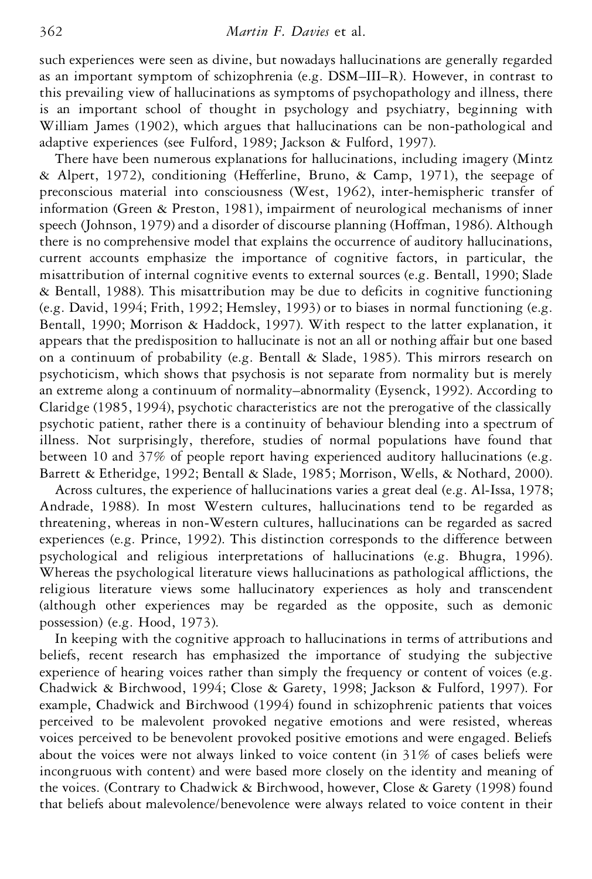such experiences were seen as divine, but nowadays hallucinations are generally regarded as an important symptom of schizophrenia (e.g. DSM–III–R). However, in contrast to this prevailing view of hallucinations as symptoms of psychopathology and illness, there is an important school of thought in psychology and psychiatry, beginning with William James (1902), which argues that hallucinations can be non-pathological and adaptive experiences (see Fulford, 1989; Jackson & Fulford, 1997).

There have been numerous explanations for hallucinations, including imagery (Mintz & Alpert, 1972), conditioning (Hefferline, Bruno, & Camp, 1971), the seepage of preconscious material into consciousness (West, 1962), inter-hemispheric transfer of information (Green & Preston, 1981), impairment of neurological mechanisms of inner speech (Johnson, 1979) and a disorder of discourse planning (Hoffman, 1986). Although there is no comprehensive model that explains the occurrence of auditory hallucinations, current accounts emphasize the importance of cognitive factors, in particular, the misattribution of internal cognitive events to external sources (e.g. Bentall, 1990; Slade & Bentall, 1988). This misattribution may be due to deficits in cognitive functioning (e.g. David, 1994; Frith, 1992; Hemsley, 1993) or to biases in normal functioning (e.g. Bentall, 1990; Morrison & Haddock, 1997). With respect to the latter explanation, it appears that the predisposition to hallucinate is not an all or nothing affair but one based on a continuum of probability (e.g. Bentall & Slade, 1985). This mirrors research on psychoticism, which shows that psychosis is not separate from normality but is merely an extreme along a continuum of normality–abnormality (Eysenck, 1992). According to Claridge (1985, 1994), psychotic characteristics are not the prerogative of the classically psychotic patient, rather there is a continuity of behaviour blending into a spectrum of illness. Not surprisingly, therefore, studies of normal populations have found that between 10 and 37% of people report having experienced auditory hallucinations (e.g. Barrett & Etheridge, 1992; Bentall & Slade, 1985; Morrison, Wells, & Nothard, 2000).

Across cultures, the experience of hallucinations varies a great deal (e.g. Al-Issa, 1978; Andrade, 1988). In most Western cultures, hallucinations tend to be regarded as threatening, whereas in non-Western cultures, hallucinations can be regarded as sacred experiences (e.g. Prince, 1992). This distinction corresponds to the difference between psychological and religious interpretations of hallucinations (e.g. Bhugra, 1996). Whereas the psychological literature views hallucinations as pathological afflictions, the religious literature views some hallucinatory experiences as holy and transcendent (although other experiences may be regarded as the opposite, such as demonic possession) (e.g. Hood, 1973).

In keeping with the cognitive approach to hallucinations in terms of attributions and beliefs, recent research has emphasized the importance of studying the subjective experience of hearing voices rather than simply the frequency or content of voices (e.g. Chadwick & Birchwood, 1994; Close & Garety, 1998; Jackson & Fulford, 1997). For example, Chadwick and Birchwood (1994) found in schizophrenic patients that voices perceived to be malevolent provoked negative emotions and were resisted, whereas voices perceived to be benevolent provoked positive emotions and were engaged. Beliefs about the voices were not always linked to voice content (in 31% of cases beliefs were incongruous with content) and were based more closely on the identity and meaning of the voices. (Contrary to Chadwick & Birchwood, however, Close & Garety (1998) found that beliefs about malevolence/benevolence were always related to voice content in their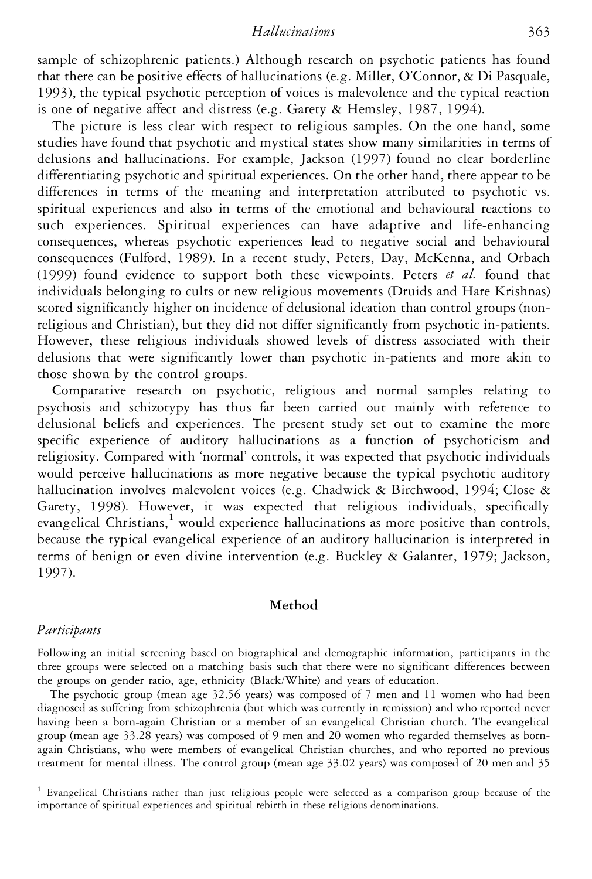# *Hallucinations* 363

sample of schizophrenic patients.) Although research on psychotic patients has found that there can be positive effects of hallucinations (e.g. Miller, O'Connor,  $\&$  Di Pasquale, 1993), the typical psychotic perception of voices is malevolence and the typical reaction is one of negative affect and distress (e.g. Garety & Hemsley, 1987, 1994).

The picture is less clear with respect to religious samples. On the one hand, some studies have found that psychotic and mystical states show many similarities in terms of delusions and hallucinations. For example, Jackson (1997) found no clear borderline differentiating psychotic and spiritual experiences. On the other hand, there appear to be differences in terms of the meaning and interpretation attributed to psychotic vs. spiritual experiences and also in terms of the emotional and behavioural reactions to such experiences. Spiritual experiences can have adaptive and life-enhancing consequences, whereas psychotic experiences lead to negative social and behavioural consequences (Fulford, 1989). In a recent study, Peters, Day, McKenna, and Orbach (1999) found evidence to support both these viewpoints. Peters *et al.* found that individuals belonging to cults or new religious movements (Druids and Hare Krishnas) scored significantly higher on incidence of delusional ideation than control groups (nonreligious and Christian), but they did not differ significantly from psychotic in-patients. However, these religious individuals showed levels of distress associated with their delusions that were significantly lower than psychotic in-patients and more akin to those shown by the control groups.

Comparative research on psychotic, religious and normal samples relating to psychosis and schizotypy has thus far been carried out mainly with reference to delusional beliefs and experiences. The present study set out to examine the more specific experience of auditory hallucinations as a function of psychoticism and religiosity. Compared with 'normal' controls, it was expected that psychotic individuals would perceive hallucinations as more negative because the typical psychotic auditory hallucination involves malevolent voices (e.g. Chadwick & Birchwood, 1994; Close & Garety, 1998). However, it was expected that religious individuals, specifically evangelical Christians, $\frac{1}{x}$  would experience hallucinations as more positive than controls, because the typical evangelical experience of an auditory hallucination is interpreted in terms of benign or even divine intervention (e.g. Buckley & Galanter, 1979; Jackson, 1997).

# **Method**

#### *Participants*

Following an initial screening based on biographical and demographic information, participants in the three groups were selected on a matching basis such that there were no significant differences between the groups on gender ratio, age, ethnicity (Black/White) and years of education.

The psychotic group (mean age 32.56 years) was composed of 7 men and 11 women who had been diagnosed as suffering from schizophrenia (but which was currently in remission) and who reported never having been a born-again Christian or a member of an evangelical Christian church. The evangelical group (mean age 33.28 years) was composed of 9 men and 20 women who regarded themselves as bornagain Christians, who were members of evangelical Christian churches, and who reported no previous treatment for mental illness. The control group (mean age 33.02 years) was composed of 20 men and 35

<sup>1</sup> Evangelical Christians rather than just religious people were selected as a comparison group because of the importance of spiritual experiences and spiritual rebirth in these religious denominations.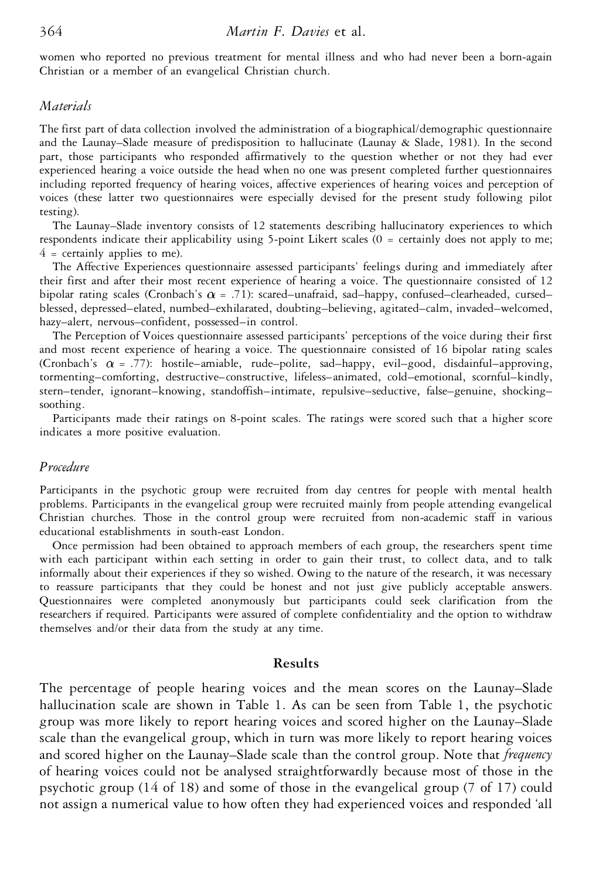women who reported no previous treatment for mental illness and who had never been a born-again Christian or a member of an evangelical Christian church.

#### *Materials*

The first part of data collection involved the administration of a biographical/demographic questionnaire and the Launay–Slade measure of predisposition to hallucinate (Launay & Slade, 1981). In the second part, those participants who responded affirmatively to the question whether or not they had ever experienced hearing a voice outside the head when no one was present completed further questionnaires including reported frequency of hearing voices, affective experiences of hearing voices and perception of voices (these latter two questionnaires were especially devised for the present study following pilot testing).

The Launay–Slade inventory consists of 12 statements describing hallucinatory experiences to which respondents indicate their applicability using 5-point Likert scales (0 = certainly does not apply to me;  $4$  = certainly applies to me).

The Affective Experiences questionnaire assessed participants' feelings during and immediately after their first and after their most recent experience of hearing a voice. The questionnaire consisted of 12 bipolar rating scales (Cronbach's  $\alpha$  = .71): scared–unafraid, sad–happy, confused–clearheaded, cursed– blessed, depressed–elated, numbed–exhilarated, doubting–believing, agitated–calm, invaded–welcomed, hazy–alert, nervous–confident, possessed–in control.

The Perception of Voices questionnaire assessed participants' perceptions of the voice during their first and most recent experience of hearing a voice. The questionnaire consisted of 16 bipolar rating scales (Cronbach's  $\alpha$  = .77): hostile–amiable, rude–polite, sad–happy, evil–good, disdainful–approving, tormenting–comforting, destructive–constructive, lifeless–animated, cold–emotional, scornful–kindly, stern–tender, ignorant–knowing, standoffish–intimate, repulsive–seductive, false–genuine, shocking– soothing.

Participants made their ratings on 8-point scales. The ratings were scored such that a higher score indicates a more positive evaluation.

# *Procedure*

Participants in the psychotic group were recruited from day centres for people with mental health problems. Participants in the evangelical group were recruited mainly from people attending evangelical Christian churches. Those in the control group were recruited from non-academic staff in various educational establishments in south-east London.

Once permission had been obtained to approach members of each group, the researchers spent time with each participant within each setting in order to gain their trust, to collect data, and to talk informally about their experiences if they so wished. Owing to the nature of the research, it was necessary to reassure participants that they could be honest and not just give publicly acceptable answers. Questionnaires were completed anonymously but participants could seek clarification from the researchers if required. Participants were assured of complete confidentiality and the option to withdraw themselves and/or their data from the study at any time.

#### **Results**

The percentage of people hearing voices and the mean scores on the Launay–Slade hallucination scale are shown in Table 1. As can be seen from Table 1, the psychotic group was more likely to report hearing voices and scored higher on the Launay–Slade scale than the evangelical group, which in turn was more likely to report hearing voices and scored higher on the Launay–Slade scale than the control group. Note that *frequency* of hearing voices could not be analysed straightforwardly because most of those in the psychotic group (14 of 18) and some of those in the evangelical group (7 of 17) could not assign a numerical value to how often they had experienced voices and responded 'all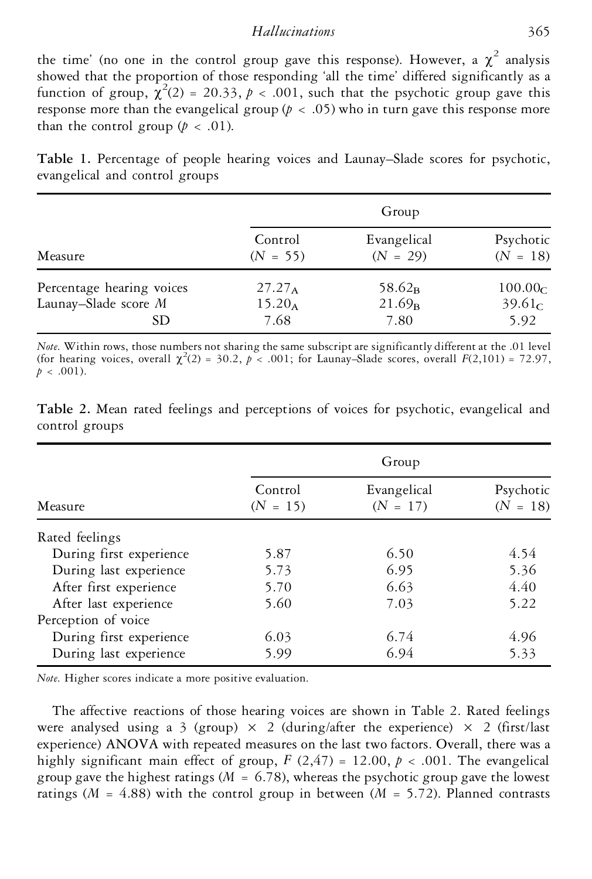### *Hallucinations* 365

the time' (no one in the control group gave this response). However, a  $\chi^2$  analysis showed that the proportion of those responding 'all the time' differed significantly as a function of group,  $\chi^2(2) = 20.33$ ,  $p < .001$ , such that the psychotic group gave this response more than the evangelical group ( $p < .05$ ) who in turn gave this response more than the control group  $(p < .01)$ .

**Table 1.** Percentage of people hearing voices and Launay–Slade scores for psychotic, evangelical and control groups

| Measure                                                  | Group                          |                                |                                                   |
|----------------------------------------------------------|--------------------------------|--------------------------------|---------------------------------------------------|
|                                                          | Control<br>$(N = 55)$          | Evangelical<br>$(N = 29)$      | Psychotic<br>$(N = 18)$                           |
| Percentage hearing voices<br>Launay-Slade score M<br>SD. | $27.27_A$<br>$15.20_A$<br>7.68 | $58.62_B$<br>$21.69_B$<br>7.80 | 100.00 <sub>C</sub><br>39.61 <sub>C</sub><br>5.92 |

*Note*. Within rows, those numbers not sharing the same subscript are significantly different at the .01 level (for hearing voices, overall  $\chi^2(2) = 30.2$ ,  $p < .001$ ; for Launay–Slade scores, overall  $F(2,101) = 72.97$ ,  $p < .001$ ).

| Measure                 | Group                 |                           |                         |
|-------------------------|-----------------------|---------------------------|-------------------------|
|                         | Control<br>$(N = 15)$ | Evangelical<br>$(N = 17)$ | Psychotic<br>$(N = 18)$ |
| Rated feelings          |                       |                           |                         |
| During first experience | 5.87                  | 6.50                      | 4.54                    |
| During last experience  | 5.73                  | 6.95                      | 5.36                    |
| After first experience  | 5.70                  | 6.63                      | 4.40                    |
| After last experience   | 5.60                  | 7.03                      | 5.22                    |
| Perception of voice     |                       |                           |                         |
| During first experience | 6.03                  | 6.74                      | 4.96                    |
| During last experience  | 5.99                  | 6.94                      | 5.33                    |

**Table 2.** Mean rated feelings and perceptions of voices for psychotic, evangelical and control groups

*Note*. Higher scores indicate a more positive evaluation.

The affective reactions of those hearing voices are shown in Table 2. Rated feelings were analysed using a 3 (group)  $\times$  2 (during/after the experience)  $\times$  2 (first/last experience) ANOVA with repeated measures on the last two factors. Overall, there was a highly significant main effect of group,  $F(2,47) = 12.00, p < .001$ . The evangelical group gave the highest ratings ( $M = 6.78$ ), whereas the psychotic group gave the lowest ratings ( $M = 4.88$ ) with the control group in between ( $M = 5.72$ ). Planned contrasts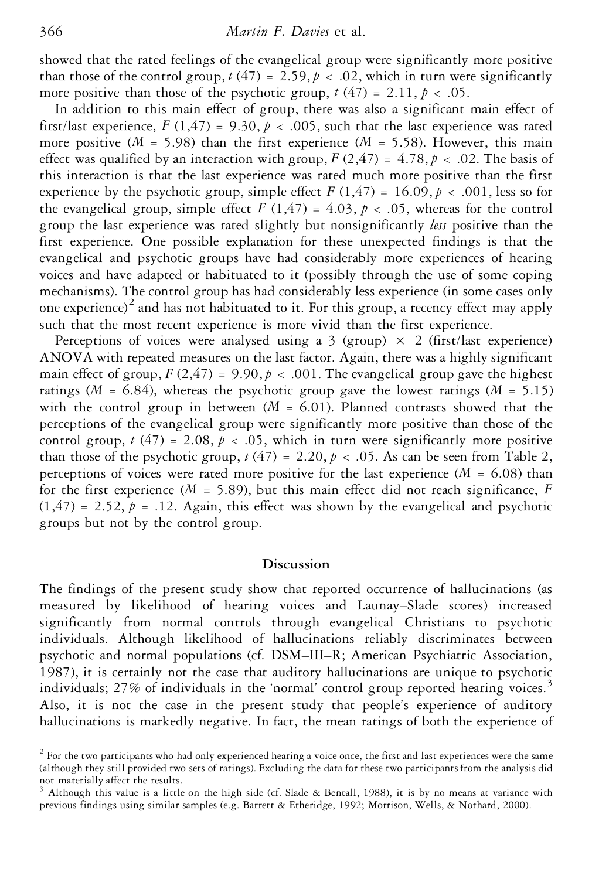showed that the rated feelings of the evangelical group were significantly more positive than those of the control group,  $t(47) = 2.59, p < .02$ , which in turn were significantly more positive than those of the psychotic group,  $t(47) = 2.11$ ,  $p < .05$ .

In addition to this main effect of group, there was also a significant main effect of first/last experience,  $F(1,47) = 9.30, p < .005$ , such that the last experience was rated more positive ( $M = 5.98$ ) than the first experience ( $M = 5.58$ ). However, this main effect was qualified by an interaction with group,  $F(2,47) = 4.78$ ,  $p < .02$ . The basis of this interaction is that the last experience was rated much more positive than the first experience by the psychotic group, simple effect  $F(1,47) = 16.09, p < .001$ , less so for the evangelical group, simple effect  $F(1,47) = 4.03$ ,  $p < .05$ , whereas for the control group the last experience was rated slightly but nonsignificantly *less* positive than the first experience. One possible explanation for these unexpected findings is that the evangelical and psychotic groups have had considerably more experiences of hearing voices and have adapted or habituated to it (possibly through the use of some coping mechanisms). The control group has had considerably less experience (in some cases only one experience)<sup>2</sup> and has not habituated to it. For this group, a recency effect may apply such that the most recent experience is more vivid than the first experience.

Perceptions of voices were analysed using a 3 (group)  $\times$  2 (first/last experience) ANOVA with repeated measures on the last factor. Again, there was a highly significant main effect of group,  $F(2,47) = 9.90, p < .001$ . The evangelical group gave the highest ratings ( $M = 6.84$ ), whereas the psychotic group gave the lowest ratings ( $M = 5.15$ ) with the control group in between  $(M = 6.01)$ . Planned contrasts showed that the perceptions of the evangelical group were significantly more positive than those of the control group,  $t(47) = 2.08$ ,  $p < .05$ , which in turn were significantly more positive than those of the psychotic group,  $t(47) = 2.20, p < .05$ . As can be seen from Table 2, perceptions of voices were rated more positive for the last experience ( $M = 6.08$ ) than for the first experience ( $M = 5.89$ ), but this main effect did not reach significance,  $F$  $(1,47) = 2.52$ ,  $p = .12$ . Again, this effect was shown by the evangelical and psychotic groups but not by the control group.

# **Discussion**

The findings of the present study show that reported occurrence of hallucinations (as measured by likelihood of hearing voices and Launay–Slade scores) increased significantly from normal controls through evangelical Christians to psychotic individuals. Although likelihood of hallucinations reliably discriminates between psychotic and normal populations (cf. DSM–III–R; American Psychiatric Association, 1987), it is certainly not the case that auditory hallucinations are unique to psychotic individuals;  $27\%$  of individuals in the 'normal' control group reported hearing voices.<sup>3</sup> Also, it is not the case in the present study that people's experience of auditory hallucinations is markedly negative. In fact, the mean ratings of both the experience of

 $2$  For the two participants who had only experienced hearing a voice once, the first and last experiences were the same (although they still provided two sets of ratings). Excluding the data for these two participants from the analysis did not materially affect the results.<br><sup>3</sup> Although this value is a little on the high side (cf. Slade & Bentall, 1988), it is by no means at variance with

previous findings using similar samples (e.g. Barrett & Etheridge, 1992; Morrison, Wells, & Nothard, 2000).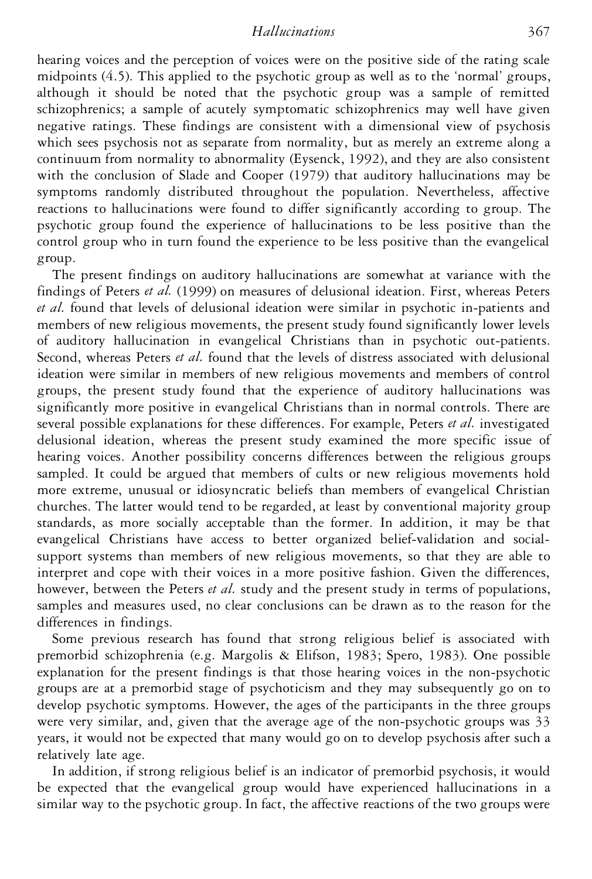*Hallucinations* 367

hearing voices and the perception of voices were on the positive side of the rating scale midpoints (4.5). This applied to the psychotic group as well as to the 'normal' groups, although it should be noted that the psychotic group was a sample of remitted schizophrenics; a sample of acutely symptomatic schizophrenics may well have given negative ratings. These findings are consistent with a dimensional view of psychosis which sees psychosis not as separate from normality, but as merely an extreme along a continuum from normality to abnormality (Eysenck, 1992), and they are also consistent with the conclusion of Slade and Cooper (1979) that auditory hallucinations may be symptoms randomly distributed throughout the population. Nevertheless, affective reactions to hallucinations were found to differ significantly according to group. The psychotic group found the experience of hallucinations to be less positive than the control group who in turn found the experience to be less positive than the evangelical group.

The present findings on auditory hallucinations are somewhat at variance with the findings of Peters *et al.* (1999) on measures of delusional ideation. First, whereas Peters *et al.* found that levels of delusional ideation were similar in psychotic in-patients and members of new religious movements, the present study found significantly lower levels of auditory hallucination in evangelical Christians than in psychotic out-patients. Second, whereas Peters *et al.* found that the levels of distress associated with delusional ideation were similar in members of new religious movements and members of control groups, the present study found that the experience of auditory hallucinations was significantly more positive in evangelical Christians than in normal controls. There are several possible explanations for these differences. For example, Peters *et al.* investigated delusional ideation, whereas the present study examined the more specific issue of hearing voices. Another possibility concerns differences between the religious groups sampled. It could be argued that members of cults or new religious movements hold more extreme, unusual or idiosyncratic beliefs than members of evangelical Christian churches. The latter would tend to be regarded, at least by conventional majority group standards, as more socially acceptable than the former. In addition, it may be that evangelical Christians have access to better organized belief-validation and socialsupport systems than members of new religious movements, so that they are able to interpret and cope with their voices in a more positive fashion. Given the differences, however, between the Peters *et al.* study and the present study in terms of populations, samples and measures used, no clear conclusions can be drawn as to the reason for the differences in findings.

Some previous research has found that strong religious belief is associated with premorbid schizophrenia (e.g. Margolis & Elifson, 1983; Spero, 1983). One possible explanation for the present findings is that those hearing voices in the non-psychotic groups are at a premorbid stage of psychoticism and they may subsequently go on to develop psychotic symptoms. However, the ages of the participants in the three groups were very similar, and, given that the average age of the non-psychotic groups was 33 years, it would not be expected that many would go on to develop psychosis after such a relatively late age.

In addition, if strong religious belief is an indicator of premorbid psychosis, it would be expected that the evangelical group would have experienced hallucinations in a similar way to the psychotic group. In fact, the affective reactions of the two groups were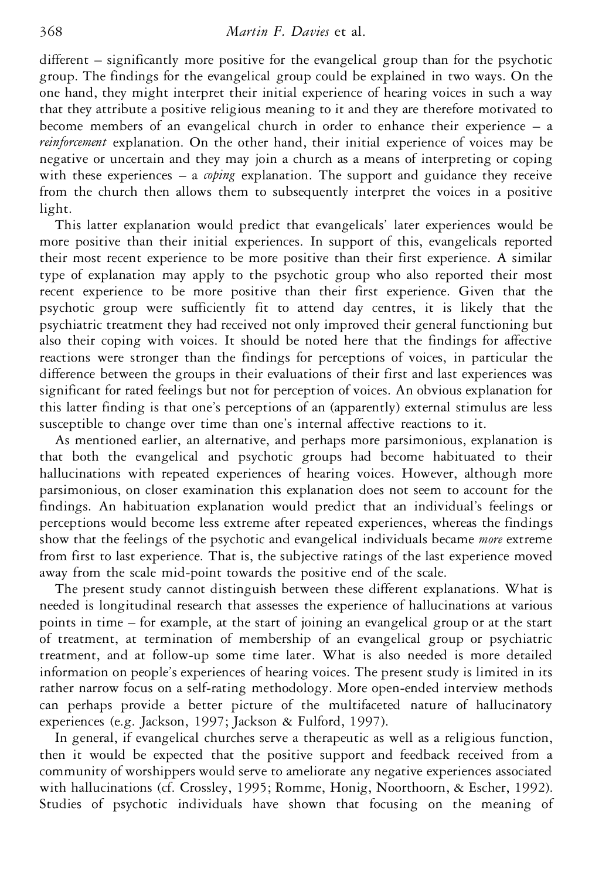different – significantly more positive for the evangelical group than for the psychotic group. The findings for the evangelical group could be explained in two ways. On the one hand, they might interpret their initial experience of hearing voices in such a way that they attribute a positive religious meaning to it and they are therefore motivated to become members of an evangelical church in order to enhance their experience – a *reinforcement* explanation. On the other hand, their initial experience of voices may be negative or uncertain and they may join a church as a means of interpreting or coping with these experiences – a *coping* explanation. The support and guidance they receive from the church then allows them to subsequently interpret the voices in a positive light.

This latter explanation would predict that evangelicals' later experiences would be more positive than their initial experiences. In support of this, evangelicals reported their most recent experience to be more positive than their first experience. A similar type of explanation may apply to the psychotic group who also reported their most recent experience to be more positive than their first experience. Given that the psychotic group were sufficiently fit to attend day centres, it is likely that the psychiatric treatment they had received not only improved their general functioning but also their coping with voices. It should be noted here that the findings for affective reactions were stronger than the findings for perceptions of voices, in particular the difference between the groups in their evaluations of their first and last experiences was significant for rated feelings but not for perception of voices. An obvious explanation for this latter finding is that one's perceptions of an (apparently) external stimulus are less susceptible to change over time than one's internal affective reactions to it.

As mentioned earlier, an alternative, and perhaps more parsimonious, explanation is that both the evangelical and psychotic groups had become habituated to their hallucinations with repeated experiences of hearing voices. However, although more parsimonious, on closer examination this explanation does not seem to account for the findings. An habituation explanation would predict that an individual's feelings or perceptions would become less extreme after repeated experiences, whereas the findings show that the feelings of the psychotic and evangelical individuals became *more* extreme from first to last experience. That is, the subjective ratings of the last experience moved away from the scale mid-point towards the positive end of the scale.

The present study cannot distinguish between these different explanations. What is needed is longitudinal research that assesses the experience of hallucinations at various points in time – for example, at the start of joining an evangelical group or at the start of treatment, at termination of membership of an evangelical group or psychiatric treatment, and at follow-up some time later. What is also needed is more detailed information on people's experiences of hearing voices. The present study is limited in its rather narrow focus on a self-rating methodology. More open-ended interview methods can perhaps provide a better picture of the multifaceted nature of hallucinatory experiences (e.g. Jackson, 1997; Jackson & Fulford, 1997).

In general, if evangelical churches serve a therapeutic as well as a religious function, then it would be expected that the positive support and feedback received from a community of worshippers would serve to ameliorate any negative experiences associated with hallucinations (cf. Crossley, 1995; Romme, Honig, Noorthoorn, & Escher, 1992). Studies of psychotic individuals have shown that focusing on the meaning of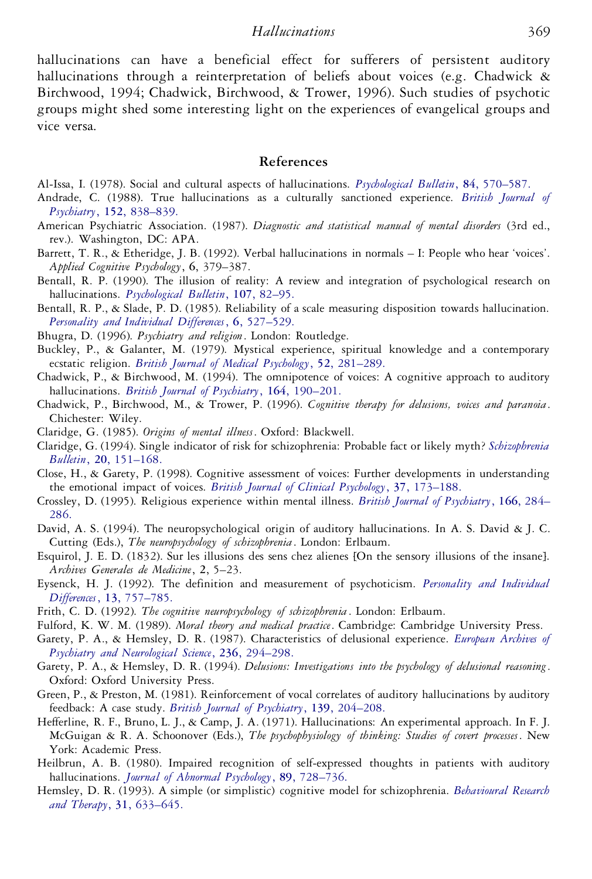hallucinations can have a beneficial effect for sufferers of persistent auditory hallucinations through a reinterpretation of beliefs about voices (e.g. Chadwick & Birchwood, 1994; Chadwick, Birchwood, & Trower, 1996). Such studies of psychotic groups might shed some interesting light on the experiences of evangelical groups and vice versa.

#### **References**

- Al-Issa, I. (1978). Social and cultural aspects of hallucinations. *[Psychological](http://www.ingentaselect.com/rpsv/cgi-bin/linker?ext=a&reqidx=/0033-2909^28^2984L.570[aid=2216423]) Bulletin*, **84**, 570–587.
- Andrade, C. (1988). True hallucinations as a culturally sanctioned experience. *British [Journal](http://www.ingentaselect.com/rpsv/cgi-bin/linker?ext=a&reqidx=/0007-1250^28^29152L.838[aid=2304420]) of Psychiatry*, **152**, [838–839.](http://www.ingentaselect.com/rpsv/cgi-bin/linker?ext=a&reqidx=/0007-1250^28^29152L.838[aid=2304420])
- American Psychiatric Association. (1987). *Diagnostic and statistical manual of mental disorders* (3rd ed., rev.). Washington, DC: APA.
- Barrett, T. R., & Etheridge, J. B. (1992). Verbal hallucinations in normals I: People who hear 'voices'. *Applied Cognitive Psychology*, **6**, 379–387.
- Bentall, R. P. (1990). The illusion of reality: A review and integration of psychological research on hallucinations. *[Psychological](http://www.ingentaselect.com/rpsv/cgi-bin/linker?ext=a&reqidx=/0033-2909^28^29107L.82[aid=27417]) Bulletin*, **107**, 82–95.
- Bentall, R. P., & Slade, P. D. (1985). Reliability of a scale measuring disposition towards hallucination. *[Personality](http://www.ingentaselect.com/rpsv/cgi-bin/linker?ext=a&reqidx=/0191-8869^28^296L.527[aid=2304421]) and Individual Differences*, **6**, 527–529.
- Bhugra, D. (1996). *Psychiatry and religion*. London: Routledge.
- Buckley, P., & Galanter, M. (1979). Mystical experience, spiritual knowledge and a contemporary ecstatic religion. *British Journal of Medical Psychology*, **52**, [281–289.](http://www.ingentaselect.com/rpsv/cgi-bin/linker?ext=a&reqidx=/0007-1129^28^2952L.281[aid=2304422])
- Chadwick, P., & Birchwood, M. (1994). The omnipotence of voices: A cognitive approach to auditory hallucinations. *British Journal of Psychiatry*, **164**, [190–201.](http://www.ingentaselect.com/rpsv/cgi-bin/linker?ext=a&reqidx=/0007-1250^28^29164L.190[aid=21241])
- Chadwick, P., Birchwood, M., & Trower, P. (1996). *Cognitive therapy for delusions, voices and paranoia*. Chichester: Wiley.
- Claridge, G. (1985). *Origins of mental illness*. Oxford: Blackwell.
- Claridge, G. (1994). Single indicator of risk for schizophrenia: Probable fact or likely myth? *[Schizophrenia](http://www.ingentaselect.com/rpsv/cgi-bin/linker?ext=a&reqidx=/0586-7614^28^2920L.151[aid=26630]) Bulletin*, **20**, [151–168.](http://www.ingentaselect.com/rpsv/cgi-bin/linker?ext=a&reqidx=/0586-7614^28^2920L.151[aid=26630])
- Close, H., & Garety, P. (1998). Cognitive assessment of voices: Further developments in understanding the emotional impact of voices. *British Journal of Clinical Psychology*, **37**, [173–188.](http://www.ingentaselect.com/rpsv/cgi-bin/linker?ext=a&reqidx=/0144-6657^28^2937L.173[aid=26864])
- Crossley, D. (1995). Religious experience within mental illness. *British Journal of [Psychiatry](http://www.ingentaselect.com/rpsv/cgi-bin/linker?ext=a&reqidx=/0007-1250^28^29166L.284[aid=26632])*, **166**, 284– [286.](http://www.ingentaselect.com/rpsv/cgi-bin/linker?ext=a&reqidx=/0007-1250^28^29166L.284[aid=26632])
- David, A. S. (1994). The neuropsychological origin of auditory hallucinations. In A. S. David & J. C. Cutting (Eds.), *The neuropsychology of schizophrenia*. London: Erlbaum.
- Esquirol, J. E. D. (1832). Sur les illusions des sens chez alienes [On the sensory illusions of the insane]. *Archives Generales de Medicine*, **2**, 5–23.
- Eysenck, H. J. (1992). The definition and measurement of psychoticism. *[Personality](http://www.ingentaselect.com/rpsv/cgi-bin/linker?ext=a&reqidx=/0191-8869^28^2913L.757[aid=2304423]) and Individual Differences*, **13**, [757–785.](http://www.ingentaselect.com/rpsv/cgi-bin/linker?ext=a&reqidx=/0191-8869^28^2913L.757[aid=2304423])
- Frith, C. D. (1992). *The cognitive neuropsychology of schizophrenia* . London: Erlbaum.
- Fulford, K. W. M. (1989). *Moral theory and medical practice*. Cambridge: Cambridge University Press.
- Garety, P. A., & Hemsley, D. R. (1987). Characteristics of delusional experience. *[European](http://www.ingentaselect.com/rpsv/cgi-bin/linker?ext=a&reqidx=/0175-758X^28^29236L.294[aid=2304424]) Archives of Psychiatry and [Neurological](http://www.ingentaselect.com/rpsv/cgi-bin/linker?ext=a&reqidx=/0175-758X^28^29236L.294[aid=2304424]) Science*, **236**, 294–298.
- Garety, P. A., & Hemsley, D. R. (1994). *Delusions: Investigations into the psychology of delusional reasoning*. Oxford: Oxford University Press.
- Green, P., & Preston, M. (1981). Reinforcement of vocal correlates of auditory hallucinations by auditory feedback: A case study. *British Journal of Psychiatry*, **139**, [204–208.](http://www.ingentaselect.com/rpsv/cgi-bin/linker?ext=a&reqidx=/0007-1250^28^29139L.204[aid=2304425])
- Hefferline, R. F., Bruno, L. J., & Camp, J. A. (1971). Hallucinations: An experimental approach. In F. J. McGuigan & R.A. Schoonover (Eds.), *The psychophysiology of thinking: Studies of covert processes*. New York: Academic Press.
- Heilbrun, A. B. (1980). Impaired recognition of self-expressed thoughts in patients with auditory hallucinations. *Journal of Abnormal Psychology*, **89**, [728–736.](http://www.ingentaselect.com/rpsv/cgi-bin/linker?ext=a&reqidx=/0021-843X^28^2989L.728[aid=312315])
- Hemsley, D. R. (1993). A simple (or simplistic) cognitive model for schizophrenia. *[Behavioural](http://www.ingentaselect.com/rpsv/cgi-bin/linker?ext=a&reqidx=/0005-7967^28^2931L.633[aid=27553]) Research and Therapy*, **31**, [633–645.](http://www.ingentaselect.com/rpsv/cgi-bin/linker?ext=a&reqidx=/0005-7967^28^2931L.633[aid=27553])